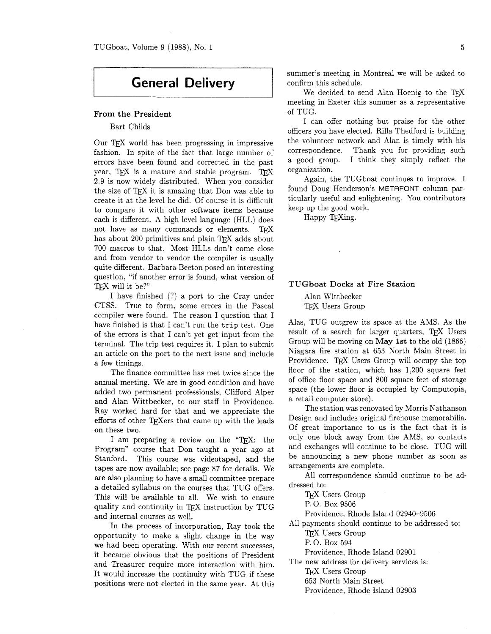# **General Delivery**

## From the President

Bart Childs

Our TFX world has been progressing in impressive fashion. In spite of the fact that large number of errors have been found and corrected in the past year, TFX is a mature and stable program. TFX 2.9 is now widely distributed. When you consider the size of TFX it is amazing that Don was able to create it at the level he did. Of course it is difficult to compare it with other software items because each is different. A high level language (HLL) does not have as many commands or elements. TEX has about 200 primitives and plain TFX adds about 700 macros to that. Most HLLs don't come close and from vendor to vendor the compiler is usually quite different. Barbara Beeton posed an interesting question, "if another error is found. what version of TEX will it be?"

I have finished (?) a port to the Cray under CTSS. True to form. some errors in the Pascal compiler were found. The reason I question that I have finished is that I can't run the trip test. One of the errors is that I can't yet get input from the terminal. The trip test requires it. I plan to submit an article on the port to the next issue and include a few timings.

The finance committee has met twice since the annual meeting. We are in good condition and have added two permanent professionals, Clifford Alper and Alan Wittbecker, to our staff in Providence. Ray worked hard for that and we appreciate the efforts of other TFXers that came up with the leads on these two.

I am preparing a review on the "TFX: the Program" course that Don taught a year ago at Stanford. This course was videotaped, and the tapes are now available; see page 87 for details. We are also planning to have a small committee prepare a detailed syllabus on the courses that TUG offers. This will be available to all. We wish to ensure quality and continuity in TFX instruction by TUG and internal courses as well.

In the process of incorporation, Ray took the opportunity to make a slight change in the way we had been operating. With our recent successes, it became obvious that the positions of President and Treasurer require more interaction with him. It would increase the continuity with TUG if these positions were not elected in the same year. At this summer's meeting in Montreal we will be asked to confirm this schedule.

We decided to send Alan Hoenig to the TFX meeting in Exeter this summer as a representative of TUG.

I can offer nothing but praise for the other officers you have elected. Rilla Thedford is building the volunteer network and Alan is timely with his correspondence. Thank you for providing such a good group. I think they simply reflect the organization.

Again, the TUGboat continues to improve. I found Doug Henderson's METAFONT column particularly useful and enlightening. You contributors keep up the good work.

Happy TFXing.

#### TUGboat Docks at Fire Station

Alan Wittbecker TFX Users Group

Alas, TUG outgrew its space at the AMS. As the result of a search for larger quarters, TFX Users Group will be moving on May 1st to the old (1866) Niagara fire station at 653 North Main Street in Providence. TFX Users Group will occupy the top floor of the station, which has 1.200 square feet of office floor space and 800 square feet of storage space (the lower floor is occupied by Computopia, a retail computer store).

The station was renovated by Morris Nathanson Design and includes original firehouse memorabilia. Of great importance to us is the fact that it is only one block away from the AMS, so contacts and exchanges will continue to be close. TUG will be announcing a new phone number as soon as arrangements are complete.

All correspondence should continue to be addressed to:

TFX Users Group

P. 0. Box 9506

Providence. Rhode Island 02940-9506

All payments should continue to be addressed to:

TFX Users Group

P. 0. Box 594

Providence, Rhode Island 02901

The new address for delivery services is:

TFX Users Group

653 North Main Street

Providence, Rhode Island 02903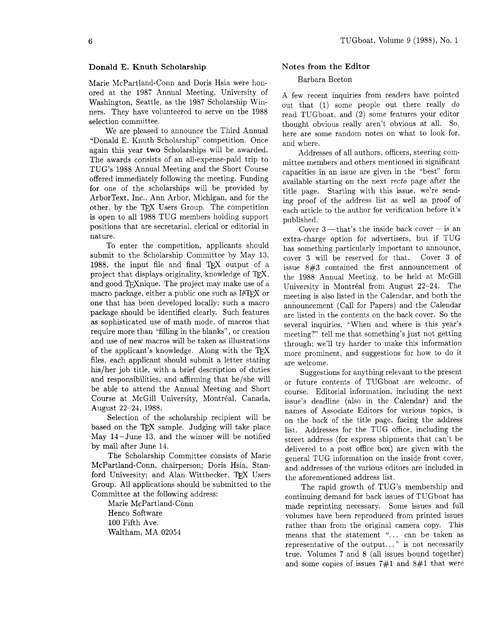## Donald E. Knuth Scholarship

Marie McPartland-Conn and Doris Hsia were honored at the 1987 Annual Meeting, University of Washington, Seattle, as the 1987 Scholarship Winners. They have volunteered to serve on the 1988 selection committee.

We are pleased to announce the Third Annual "Donald E. Knuth Scholarship" competition. Once again this year two Scholarships will be awarded. The awards consists of an all-expense-paid trip to TUG'S 1988 Annual Meeting and the Short Course offered immediately following the meeting. Funding for one of the scholarships will be provided by ArborText, Inc., Ann Arbor, Michigan, and for the other, by the TEX Users Group. The competition is open to all 1988 TUG members holding support positions that are secretarial. clerical or editorial in nature.

To enter the competition, applicants should submit to the Scholarship Committee by May 13, 1988, the input file and final TEX output of a project that displays originality, knowledge of  $T_F X$ , and good TFX nique. The project may make use of a macro package, either a public one such as IAT<sub>F</sub>X or one that has been developed locally; such a macro package should be identified clearly. Such features as sophisticated use of math mode, of macros that require more than "filling in the blanks", or creation and use of new macros will be taken as illustrations of the applicant's knowledge. Along with the files, each applicant should submit a letter stating his/her job title, with a brief description of duties and responsibilities, and affirming that he/she will be able to attend the Annual Meeting and Short Course at McGill University, Montréal, Canada, August 22-24, 1988.

Selection of the scholarship recipient will be based on the TFX sample. Judging will take place May 14- June 13, and the winner will be notified by mail after June 14.

The Scholarship Committee consists of Marie McPartland-Conn, chairperson; Doris Hsia, Stanford University; and Alan Wittbecker, TEX Users Group. All applications should be submitted to the Committee at the following address:

Marie McPartland-Conn Henco Software 100 Fifth Ave. Waltham, MA 02054

# Notes from the Editor

### Barbara Beeton

A few recent inquiries from readers have pointed out that (1) some people out there really do read TUGboat, and (2) some features your editor thought obvious really aren't obvious at all. So, here are some random notes on what to look for, and where.

Addresses of all authors, officers, steering committee members and others mentioned in significant capacities in an issue are given in the "best" form available starting on the next recto page after the title page. Starting with this issue, we're sending proof of the address list as well as proof of each article to the author for verification before it's published.

Cover  $3$ —that's the inside back cover—is an extra-charge option for advertisers, but if TUG has something particularly important to announce, cover 3 will be reserved for that. Cover **3** of issue 8#3 contained the first announcement of the 1988 Annual Meeting, to be held at McGill University in Montréal from August 22-24. The meeting is also listed in the Calendar, and both the announcement (Call for Papers) and the Calendar are listed in the contents on the back cover. So the several inquiries, "When and where is this year's meeting?" tell me that something's just not getting through; we'll try harder to make this information more prominent, and suggestions for how to do it are welcome.

Suggestions for anything relevant to the present or future contents of TUGboat are welcome, of course. Editorial information, including the next issue's deadline (also in the Calendar) and the names of Associate Editors for various topics, is on the back of the title page, facing the address list. Addresses for the TUG office, including the street address (for express shipments that can't be delivered to a post office box) are given with the general TUG information on the inside front cover, and addresses of the various editors are included in the aforementioned address list.

The rapid growth of TUG'S membership and continuing demand for back issues of TUGboat has made reprinting necessary. Some issues and full volumes have been reproduced from printed issues rather than from the original camera copy. This means that the statement "... can be taken as representative of the output.. . " is not necessarily true. Volumes 7 and 8 (all issues bound together) and some copies of issues 7#1 and 8#1 that were